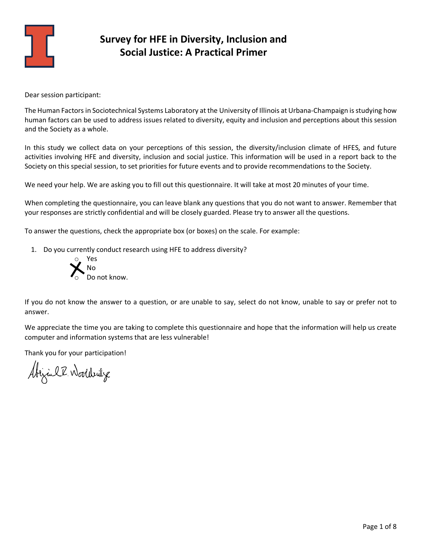

Dear session participant:

The Human Factors in Sociotechnical Systems Laboratory at the University of Illinois at Urbana-Champaign is studying how human factors can be used to address issues related to diversity, equity and inclusion and perceptions about this session and the Society as a whole.

In this study we collect data on your perceptions of this session, the diversity/inclusion climate of HFES, and future activities involving HFE and diversity, inclusion and social justice. This information will be used in a report back to the Society on this special session, to set priorities for future events and to provide recommendations to the Society.

We need your help. We are asking you to fill out this questionnaire. It will take at most 20 minutes of your time.

When completing the questionnaire, you can leave blank any questions that you do not want to answer. Remember that your responses are strictly confidential and will be closely guarded. Please try to answer all the questions.

To answer the questions, check the appropriate box (or boxes) on the scale. For example:

1. Do you currently conduct research using HFE to address diversity?



If you do not know the answer to a question, or are unable to say, select do not know, unable to say or prefer not to answer.

We appreciate the time you are taking to complete this questionnaire and hope that the information will help us create computer and information systems that are less vulnerable!

Thank you for your participation!

Abizàrl R. Wooldering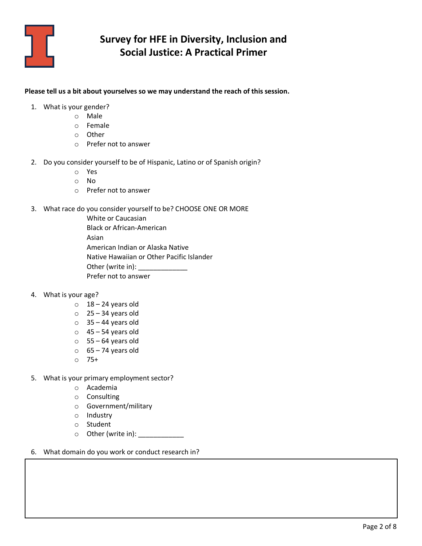

#### **Please tell us a bit about yourselves so we may understand the reach of this session.**

- 1. What is your gender?
	- o Male
	- o Female
	- o Other
	- o Prefer not to answer
- 2. Do you consider yourself to be of Hispanic, Latino or of Spanish origin?
	- o Yes
	- o No
	- o Prefer not to answer
- 3. What race do you consider yourself to be? CHOOSE ONE OR MORE
	- White or Caucasian Black or African-American Asian American Indian or Alaska Native Native Hawaiian or Other Pacific Islander Other (write in): Prefer not to answer
- 4. What is your age?
	- $\circ$  18 24 years old
	- $\circ$  25 34 years old
	- $\circ$  35 44 years old
	- $\circ$  45 54 years old
	- $\circ$  55 64 years old
	- $\circ$  65 74 years old
	- o 75+
- 5. What is your primary employment sector?
	- o Academia
	- o Consulting
	- o Government/military
	- o Industry
	- o Student
	- o Other (write in): \_\_\_\_\_\_\_\_\_\_\_\_
- 6. What domain do you work or conduct research in?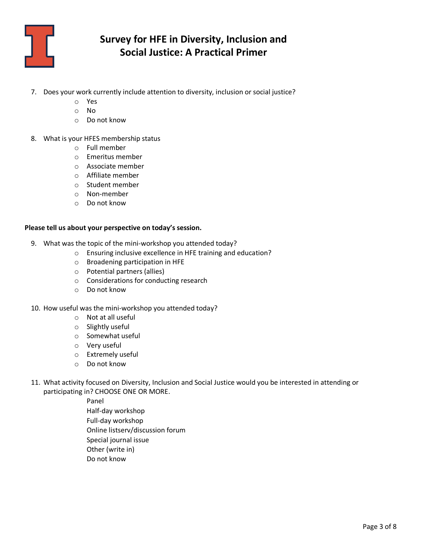

- 7. Does your work currently include attention to diversity, inclusion or social justice?
	- o Yes
	- o No
	- o Do not know
- 8. What is your HFES membership status
	- o Full member
	- o Emeritus member
	- o Associate member
	- o Affiliate member
	- o Student member
	- o Non-member
	- o Do not know

#### **Please tell us about your perspective on today's session.**

- 9. What was the topic of the mini-workshop you attended today?
	- o Ensuring inclusive excellence in HFE training and education?
	- o Broadening participation in HFE
	- o Potential partners (allies)
	- o Considerations for conducting research
	- o Do not know
- 10. How useful was the mini-workshop you attended today?
	- o Not at all useful
	- o Slightly useful
	- o Somewhat useful
	- o Very useful
	- o Extremely useful
	- o Do not know
- 11. What activity focused on Diversity, Inclusion and Social Justice would you be interested in attending or participating in? CHOOSE ONE OR MORE.
	- Panel Half-day workshop Full-day workshop Online listserv/discussion forum Special journal issue Other (write in) Do not know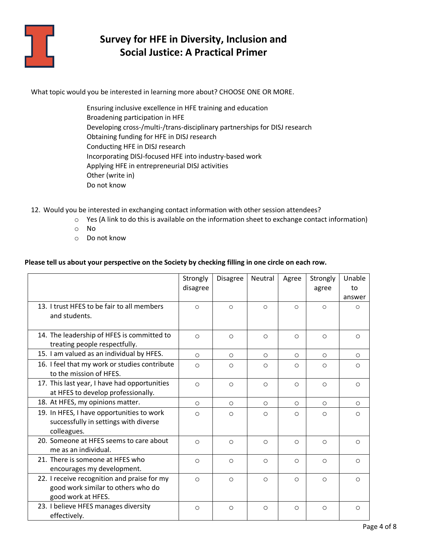

What topic would you be interested in learning more about? CHOOSE ONE OR MORE.

 Ensuring inclusive excellence in HFE training and education Broadening participation in HFE Developing cross-/multi-/trans-disciplinary partnerships for DISJ research Obtaining funding for HFE in DISJ research Conducting HFE in DISJ research Incorporating DISJ-focused HFE into industry-based work Applying HFE in entrepreneurial DISJ activities Other (write in) Do not know

- 12. Would you be interested in exchanging contact information with other session attendees?
	- o Yes (A link to do this is available on the information sheet to exchange contact information)
	- o No
	- o Do not know

### **Please tell us about your perspective on the Society by checking filling in one circle on each row.**

|                                                                                                         | Strongly<br>disagree | <b>Disagree</b> | <b>Neutral</b> | Agree   | Strongly<br>agree | Unable<br>to<br>answer |
|---------------------------------------------------------------------------------------------------------|----------------------|-----------------|----------------|---------|-------------------|------------------------|
| 13. I trust HFES to be fair to all members<br>and students.                                             | $\circ$              | $\circ$         | $\circ$        | $\circ$ | $\circ$           | $\circ$                |
| 14. The leadership of HFES is committed to<br>treating people respectfully.                             | $\circ$              | $\circ$         | $\circ$        | $\circ$ | $\circ$           | $\circ$                |
| 15. I am valued as an individual by HFES.                                                               | $\circ$              | $\circ$         | $\circ$        | $\circ$ | $\circ$           | $\circ$                |
| 16. I feel that my work or studies contribute<br>to the mission of HFES.                                | $\circ$              | $\circ$         | $\circ$        | $\circ$ | $\circ$           | $\circ$                |
| 17. This last year, I have had opportunities<br>at HFES to develop professionally.                      | $\circ$              | $\circ$         | $\circ$        | $\circ$ | $\circ$           | $\circ$                |
| 18. At HFES, my opinions matter.                                                                        | $\circ$              | $\circ$         | $\circ$        | $\circ$ | $\circ$           | $\circ$                |
| 19. In HFES, I have opportunities to work<br>successfully in settings with diverse<br>colleagues.       | $\circ$              | $\circ$         | $\circ$        | $\circ$ | $\circ$           | $\circ$                |
| 20. Someone at HFES seems to care about<br>me as an individual.                                         | $\circ$              | $\circ$         | $\circ$        | $\circ$ | $\circ$           | $\circ$                |
| 21. There is someone at HFES who<br>encourages my development.                                          | $\circ$              | $\circ$         | $\circ$        | $\circ$ | $\circ$           | $\circ$                |
| 22. I receive recognition and praise for my<br>good work similar to others who do<br>good work at HFES. | $\circ$              | $\circ$         | $\circ$        | $\circ$ | $\circ$           | $\circ$                |
| 23. I believe HFES manages diversity<br>effectively.                                                    | $\circ$              | $\circ$         | $\circ$        | $\circ$ | $\circ$           | $\circ$                |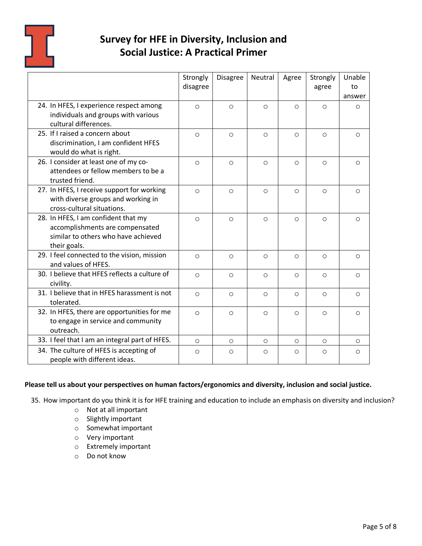

|                                                                                                                               | Strongly<br>disagree | <b>Disagree</b> | Neutral | Agree   | Strongly<br>agree | Unable<br>to<br>answer |
|-------------------------------------------------------------------------------------------------------------------------------|----------------------|-----------------|---------|---------|-------------------|------------------------|
| 24. In HFES, I experience respect among<br>individuals and groups with various<br>cultural differences.                       | $\circ$              | $\circ$         | $\circ$ | $\circ$ | $\circ$           | $\circ$                |
| 25. If I raised a concern about<br>discrimination, I am confident HFES<br>would do what is right.                             | $\circ$              | $\circ$         | $\circ$ | $\circ$ | $\circ$           | $\circ$                |
| 26. I consider at least one of my co-<br>attendees or fellow members to be a<br>trusted friend.                               | $\circ$              | $\circ$         | $\circ$ | $\circ$ | $\circ$           | $\circ$                |
| 27. In HFES, I receive support for working<br>with diverse groups and working in<br>cross-cultural situations.                | $\circ$              | $\circ$         | $\circ$ | $\circ$ | $\circ$           | $\circ$                |
| 28. In HFES, I am confident that my<br>accomplishments are compensated<br>similar to others who have achieved<br>their goals. | $\circ$              | $\circ$         | $\circ$ | $\circ$ | $\circ$           | $\circ$                |
| 29. I feel connected to the vision, mission<br>and values of HFES.                                                            | $\circ$              | $\circ$         | $\circ$ | $\circ$ | $\circ$           | $\circ$                |
| 30. I believe that HFES reflects a culture of<br>civility.                                                                    | $\circ$              | $\circ$         | $\circ$ | $\circ$ | $\circ$           | $\circ$                |
| 31. I believe that in HFES harassment is not<br>tolerated.                                                                    | $\circ$              | $\circ$         | $\circ$ | $\circ$ | $\circ$           | $\circ$                |
| 32. In HFES, there are opportunities for me<br>to engage in service and community<br>outreach.                                | $\circ$              | $\circ$         | $\circ$ | $\circ$ | $\circ$           | $\circ$                |
| 33. I feel that I am an integral part of HFES.                                                                                | $\circ$              | O               | $\circ$ | $\circ$ | O                 | $\circ$                |
| 34. The culture of HFES is accepting of<br>people with different ideas.                                                       | O                    | $\circ$         | $\circ$ | $\circ$ | $\circ$           | $\circ$                |

### **Please tell us about your perspectives on human factors/ergonomics and diversity, inclusion and social justice.**

35. How important do you think it is for HFE training and education to include an emphasis on diversity and inclusion?

- o Not at all important
- o Slightly important
- o Somewhat important
- o Very important
- o Extremely important
- o Do not know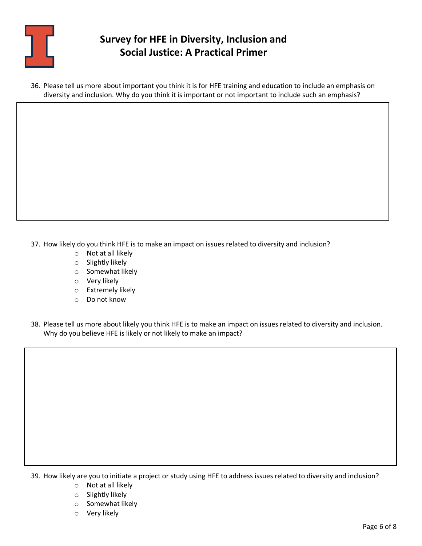

36. Please tell us more about important you think it is for HFE training and education to include an emphasis on diversity and inclusion. Why do you think it is important or not important to include such an emphasis?

- 37. How likely do you think HFE is to make an impact on issues related to diversity and inclusion?
	- o Not at all likely
	- o Slightly likely
	- o Somewhat likely
	- o Very likely
	- o Extremely likely
	- o Do not know
- 38. Please tell us more about likely you think HFE is to make an impact on issues related to diversity and inclusion. Why do you believe HFE is likely or not likely to make an impact?

39. How likely are you to initiate a project or study using HFE to address issues related to diversity and inclusion?

- o Not at all likely
- o Slightly likely
- o Somewhat likely
- o Very likely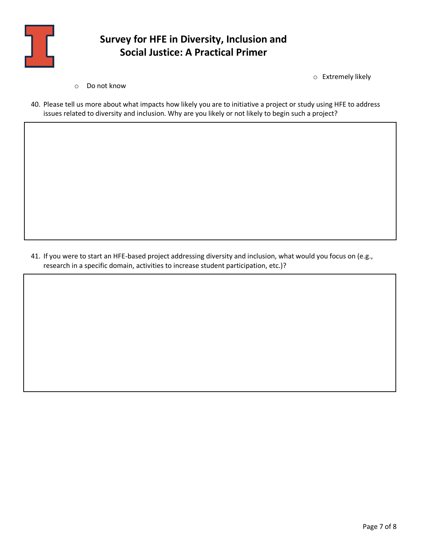

o Extremely likely

- o Do not know
- 40. Please tell us more about what impacts how likely you are to initiative a project or study using HFE to address issues related to diversity and inclusion. Why are you likely or not likely to begin such a project?

41. If you were to start an HFE-based project addressing diversity and inclusion, what would you focus on (e.g., research in a specific domain, activities to increase student participation, etc.)?